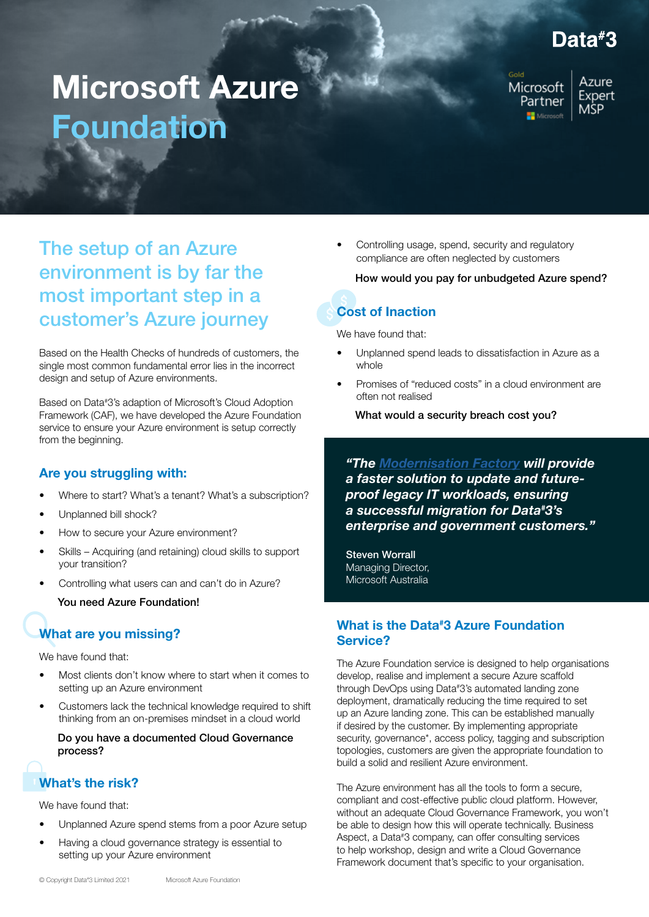## Data#3

# Microsoft Azure Foundation

Microsoft Partner Microsoft

Azure Expert MŚP.

### The setup of an Azure environment is by far the most important step in a customer's Azure journey

Based on the Health Checks of hundreds of customers, the single most common fundamental error lies in the incorrect design and setup of Azure environments.

Based on Data# 3's adaption of Microsoft's Cloud Adoption Framework (CAF), we have developed the Azure Foundation service to ensure your Azure environment is setup correctly from the beginning.

#### Are you struggling with:

- Where to start? What's a tenant? What's a subscription?
- Unplanned bill shock?
- How to secure your Azure environment?
- Skills Acquiring (and retaining) cloud skills to support your transition?
- Controlling what users can and can't do in Azure?

#### You need Azure Foundation!

### What are you missing?

We have found that:

- Most clients don't know where to start when it comes to setting up an Azure environment
- Customers lack the technical knowledge required to shift thinking from an on-premises mindset in a cloud world

#### Do you have a documented Cloud Governance process?

### What's the risk?

We have found that:

- Unplanned Azure spend stems from a poor Azure setup
- Having a cloud governance strategy is essential to setting up your Azure environment

• Controlling usage, spend, security and regulatory compliance are often neglected by customers

How would you pay for unbudgeted Azure spend?

# Cost of Inaction

We have found that:

- Unplanned spend leads to dissatisfaction in Azure as a whole
- Promises of "reduced costs" in a cloud environment are often not realised

What would a security breach cost you?

*"The [Modernisation Factory](https://www.data3.com/knowledge-centre/news/data3-selected-by-microsoft-to-provide-azure-migration-services/) will provide a faster solution to update and futureproof legacy IT workloads, ensuring a successful migration for Data# 3's enterprise and government customers."*

Steven Worrall Managing Director, Microsoft Australia

### What is the Data<sup>#</sup>3 Azure Foundation Service?

The Azure Foundation service is designed to help organisations develop, realise and implement a secure Azure scaffold through DevOps using Data# 3's automated landing zone deployment, dramatically reducing the time required to set up an Azure landing zone. This can be established manually if desired by the customer. By implementing appropriate security, governance<sup>\*</sup>, access policy, tagging and subscription topologies, customers are given the appropriate foundation to build a solid and resilient Azure environment.

The Azure environment has all the tools to form a secure, compliant and cost-effective public cloud platform. However, without an adequate Cloud Governance Framework, you won't be able to design how this will operate technically. Business Aspect, a Data# 3 company, can offer consulting services to help workshop, design and write a Cloud Governance Framework document that's specific to your organisation.